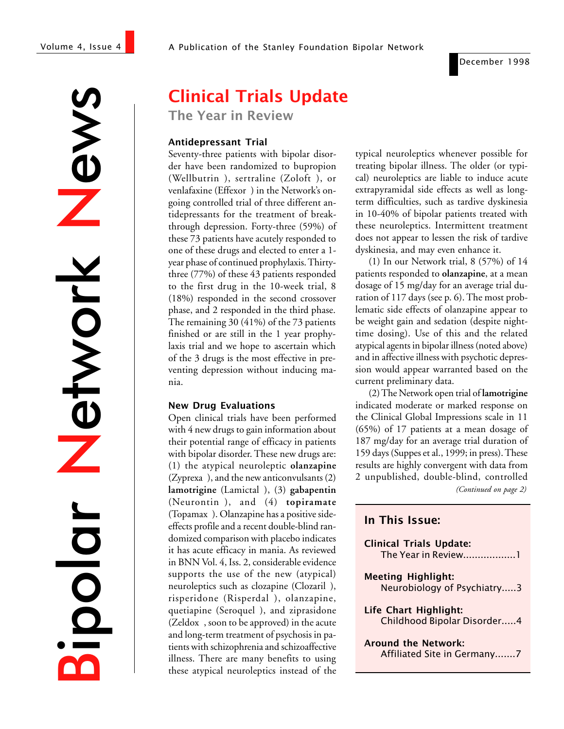December 1998

 $\sum_{i=1}^{n}$ Network etwork Bipolar

# Clinical Trials Update

The Year in Review

#### Antidepressant Trial

Seventy-three patients with bipolar disorder have been randomized to bupropion (Wellbutrin®), sertraline (Zoloft®), or venlafaxine (Effexor®) in the Network's ongoing controlled trial of three different antidepressants for the treatment of breakthrough depression. Forty-three (59%) of these 73 patients have acutely responded to one of these drugs and elected to enter a 1 year phase of continued prophylaxis. Thirtythree (77%) of these 43 patients responded to the first drug in the 10-week trial, 8 (18%) responded in the second crossover phase, and 2 responded in the third phase. The remaining 30 (41%) of the 73 patients finished or are still in the 1 year prophylaxis trial and we hope to ascertain which of the 3 drugs is the most effective in preventing depression without inducing mania.

#### New Drug Evaluations

Open clinical trials have been performed with 4 new drugs to gain information about their potential range of efficacy in patients with bipolar disorder. These new drugs are: (1) the atypical neuroleptic **olanzapine**  $(Zyprexa^{\circledast})$ , and the new anticonvulsants  $(2)$ lamotrigine (Lamictal®), (3) gabapentin (Neurontin), and (4) **topiramate** (Topamax<sup>®</sup>). Olanzapine has a positive sideeffects profile and a recent double-blind randomized comparison with placebo indicates it has acute efficacy in mania. As reviewed in BNN Vol. 4, Iss. 2, considerable evidence supports the use of the new (atypical) neuroleptics such as clozapine (Clozaril®), risperidone (Risperdal®), olanzapine, quetiapine (Seroquel®), and ziprasidone  $(Zeldox<sup>®</sup>, soon to be approved) in the acute$ and long-term treatment of psychosis in patients with schizophrenia and schizoaffective illness. There are many benefits to using these atypical neuroleptics instead of the typical neuroleptics whenever possible for treating bipolar illness. The older (or typical) neuroleptics are liable to induce acute extrapyramidal side effects as well as longterm difficulties, such as tardive dyskinesia in 10-40% of bipolar patients treated with these neuroleptics. Intermittent treatment does not appear to lessen the risk of tardive dyskinesia, and may even enhance it.

(1) In our Network trial, 8 (57%) of 14 patients responded to **olanzapine**, at a mean dosage of 15 mg/day for an average trial duration of 117 days (see p. 6). The most problematic side effects of olanzapine appear to be weight gain and sedation (despite nighttime dosing). Use of this and the related atypical agents in bipolar illness (noted above) and in affective illness with psychotic depression would appear warranted based on the current preliminary data.

(2) The Network open trial of **lamotrigine** indicated moderate or marked response on the Clinical Global Impressions scale in 11 (65%) of 17 patients at a mean dosage of 187 mg/day for an average trial duration of 159 days (Suppes et al., 1999; in press). These results are highly convergent with data from 2 unpublished, double-blind, controlled

*(Continued on page 2)*

#### In This Issue:

| <b>Clinical Trials Update:</b><br>The Year in Review1     |
|-----------------------------------------------------------|
| <b>Meeting Highlight:</b><br>Neurobiology of Psychiatry3  |
| Life Chart Highlight:<br>Childhood Bipolar Disorder4      |
| <b>Around the Network:</b><br>Affiliated Site in Germany7 |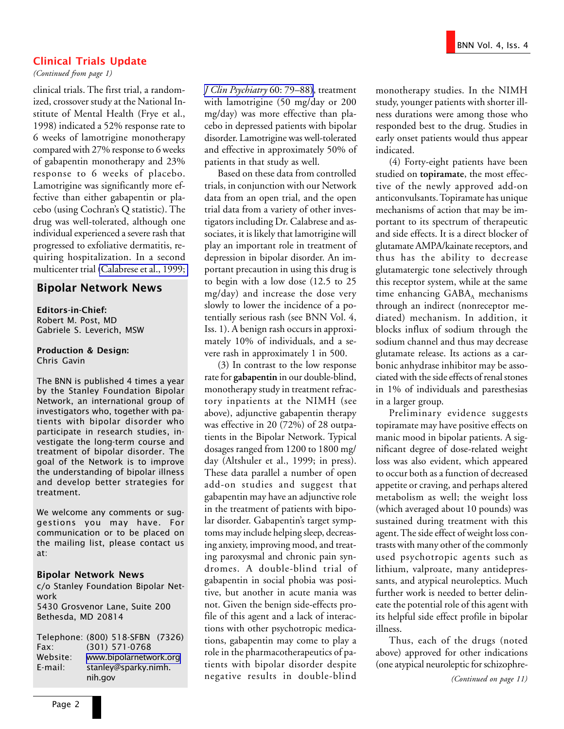#### Clinical Trials Update

*(Continued from page 1)*

clinical trials. The first trial, a randomized, crossover study at the National Institute of Mental Health (Frye et al., 1998) indicated a 52% response rate to 6 weeks of lamotrigine monotherapy compared with 27% response to 6 weeks of gabapentin monotherapy and 23% response to 6 weeks of placebo. Lamotrigine was significantly more effective than either gabapentin or placebo (using Cochran's Q statistic). The drug was well-tolerated, although one individual experienced a severe rash that progressed to exfoliative dermatitis, requiring hospitalization. In a second multicenter trial [\(Calabrese et al., 1999;](http://www.ncbi.nlm.nih.gov/entrez/query.fcgi?cmd=Retrieve&db=PubMed&list_uids=10084633&dopt=Abstract)

#### Bipolar Network News

Editors-in-Chief: Robert M. Post, MD Gabriele S. Leverich, MSW

Production & Design: Chris Gavin

The BNN is published 4 times a year by the Stanley Foundation Bipolar Network, an international group of investigators who, together with patients with bipolar disorder who participate in research studies, investigate the long-term course and treatment of bipolar disorder. The goal of the Network is to improve the understanding of bipolar illness and develop better strategies for treatment.

We welcome any comments or suggestions you may have. For communication or to be placed on the mailing list, please contact us at:

#### Bipolar Network News

c/o Stanley Foundation Bipolar Network 5430 Grosvenor Lane, Suite 200 Bethesda, MD 20814

Telephone: (800) 518-SFBN (7326) Fax: (301) 571-0768 Website: [www.bipolarnetwork.org](http://www.bipolarnetwork.org/) E-mail: stanley@sparky.nimh. nih.gov

*[J Clin Psychiatry](http://www.ncbi.nlm.nih.gov/entrez/query.fcgi?cmd=Retrieve&db=PubMed&list_uids=10084633&dopt=Abstract)* 60: 79–88), treatment with lamotrigine (50 mg/day or 200 mg/day) was more effective than placebo in depressed patients with bipolar disorder. Lamotrigine was well-tolerated and effective in approximately 50% of patients in that study as well.

Based on these data from controlled trials, in conjunction with our Network data from an open trial, and the open trial data from a variety of other investigators including Dr. Calabrese and associates, it is likely that lamotrigine will play an important role in treatment of depression in bipolar disorder. An important precaution in using this drug is to begin with a low dose (12.5 to 25 mg/day) and increase the dose very slowly to lower the incidence of a potentially serious rash (see BNN Vol. 4, Iss. 1). A benign rash occurs in approximately 10% of individuals, and a severe rash in approximately 1 in 500.

(3) In contrast to the low response rate for **gabapentin** in our double-blind, monotherapy study in treatment refractory inpatients at the NIMH (see above), adjunctive gabapentin therapy was effective in 20 (72%) of 28 outpatients in the Bipolar Network. Typical dosages ranged from 1200 to 1800 mg/ day (Altshuler et al., 1999; in press). These data parallel a number of open add-on studies and suggest that gabapentin may have an adjunctive role in the treatment of patients with bipolar disorder. Gabapentin's target symptoms may include helping sleep, decreasing anxiety, improving mood, and treating paroxysmal and chronic pain syndromes. A double-blind trial of gabapentin in social phobia was positive, but another in acute mania was not. Given the benign side-effects profile of this agent and a lack of interactions with other psychotropic medications, gabapentin may come to play a role in the pharmacotherapeutics of patients with bipolar disorder despite negative results in double-blind

monotherapy studies. In the NIMH study, younger patients with shorter illness durations were among those who responded best to the drug. Studies in early onset patients would thus appear indicated.

(4) Forty-eight patients have been studied on **topiramate**, the most effective of the newly approved add-on anticonvulsants. Topiramate has unique mechanisms of action that may be important to its spectrum of therapeutic and side effects. It is a direct blocker of glutamate AMPA/kainate receptors, and thus has the ability to decrease glutamatergic tone selectively through this receptor system, while at the same time enhancing  $GABA_A$  mechanisms through an indirect (nonreceptor mediated) mechanism. In addition, it blocks influx of sodium through the sodium channel and thus may decrease glutamate release. Its actions as a carbonic anhydrase inhibitor may be associated with the side effects of renal stones in 1% of individuals and paresthesias in a larger group.

Preliminary evidence suggests topiramate may have positive effects on manic mood in bipolar patients. A significant degree of dose-related weight loss was also evident, which appeared to occur both as a function of decreased appetite or craving, and perhaps altered metabolism as well; the weight loss (which averaged about 10 pounds) was sustained during treatment with this agent. The side effect of weight loss contrasts with many other of the commonly used psychotropic agents such as lithium, valproate, many antidepressants, and atypical neuroleptics. Much further work is needed to better delineate the potential role of this agent with its helpful side effect profile in bipolar illness.

Thus, each of the drugs (noted above) approved for other indications (one atypical neuroleptic for schizophre-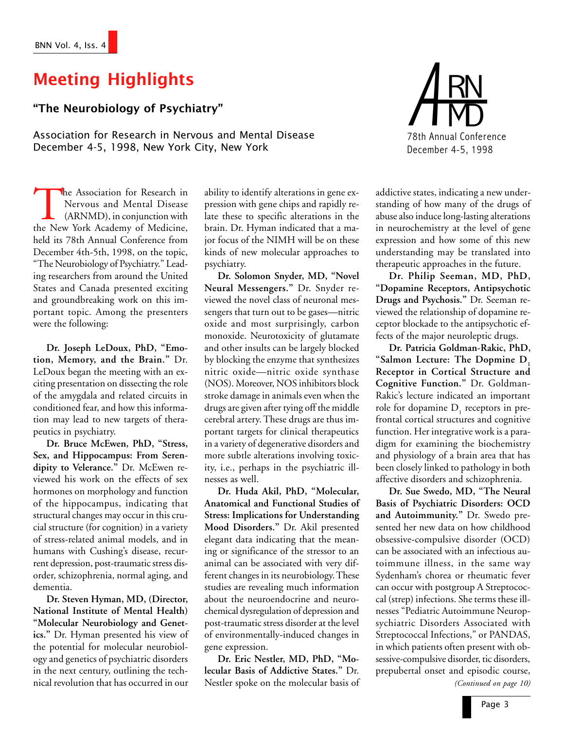# Meeting Highlights

### The Neurobiology of Psychiatry

Association for Research in Nervous and Mental Disease December 4-5, 1998, New York City, New York

The Association for Research in<br>
Nervous and Mental Disease<br>
(ARNMD), in conjunction with<br>
the New York Academy of Medicine, Nervous and Mental Disease (ARNMD), in conjunction with held its 78th Annual Conference from December 4th-5th, 1998, on the topic, "The Neurobiology of Psychiatry." Leading researchers from around the United States and Canada presented exciting and groundbreaking work on this important topic. Among the presenters were the following:

**Dr. Joseph LeDoux, PhD, "Emotion, Memory, and the Brain."** Dr. LeDoux began the meeting with an exciting presentation on dissecting the role of the amygdala and related circuits in conditioned fear, and how this information may lead to new targets of therapeutics in psychiatry.

**Dr. Bruce McEwen, PhD, "Stress, Sex, and Hippocampus: From Serendipity to Velerance."** Dr. McEwen reviewed his work on the effects of sex hormones on morphology and function of the hippocampus, indicating that structural changes may occur in this crucial structure (for cognition) in a variety of stress-related animal models, and in humans with Cushing's disease, recurrent depression, post-traumatic stress disorder, schizophrenia, normal aging, and dementia.

**Dr. Steven Hyman, MD, (Director, National Institute of Mental Health) "Molecular Neurobiology and Genetics."** Dr. Hyman presented his view of the potential for molecular neurobiology and genetics of psychiatric disorders in the next century, outlining the technical revolution that has occurred in our

ability to identify alterations in gene expression with gene chips and rapidly relate these to specific alterations in the brain. Dr. Hyman indicated that a major focus of the NIMH will be on these kinds of new molecular approaches to psychiatry.

**Dr. Solomon Snyder, MD, "Novel Neural Messengers."** Dr. Snyder reviewed the novel class of neuronal messengers that turn out to be gases—nitric oxide and most surprisingly, carbon monoxide. Neurotoxicity of glutamate and other insults can be largely blocked by blocking the enzyme that synthesizes nitric oxide—nitric oxide synthase (NOS). Moreover, NOS inhibitors block stroke damage in animals even when the drugs are given after tying off the middle cerebral artery. These drugs are thus important targets for clinical therapeutics in a variety of degenerative disorders and more subtle alterations involving toxicity, i.e., perhaps in the psychiatric illnesses as well.

**Dr. Huda Akil, PhD, "Molecular, Anatomical and Functional Studies of Stress: Implications for Understanding Mood Disorders."** Dr. Akil presented elegant data indicating that the meaning or significance of the stressor to an animal can be associated with very different changes in its neurobiology. These studies are revealing much information about the neuroendocrine and neurochemical dysregulation of depression and post-traumatic stress disorder at the level of environmentally-induced changes in gene expression.

**Dr. Eric Nestler, MD, PhD, "Molecular Basis of Addictive States."** Dr. Nestler spoke on the molecular basis of



addictive states, indicating a new understanding of how many of the drugs of abuse also induce long-lasting alterations in neurochemistry at the level of gene expression and how some of this new understanding may be translated into therapeutic approaches in the future.

**Dr. Philip Seeman, MD, PhD, "Dopamine Receptors, Antipsychotic Drugs and Psychosis."** Dr. Seeman reviewed the relationship of dopamine receptor blockade to the antipsychotic effects of the major neuroleptic drugs.

**Dr. Patricia Goldman-Rakic, PhD,** "Salmon Lecture: The Dopmine D<sub>1</sub> **Receptor in Cortical Structure and Cognitive Function."** Dr. Goldman-Rakic's lecture indicated an important role for dopamine  $D_1$  receptors in prefrontal cortical structures and cognitive function. Her integrative work is a paradigm for examining the biochemistry and physiology of a brain area that has been closely linked to pathology in both affective disorders and schizophrenia.

**Dr. Sue Swedo, MD, "The Neural Basis of Psychiatric Disorders: OCD and Autoimmunity."** Dr. Swedo presented her new data on how childhood obsessive-compulsive disorder (OCD) can be associated with an infectious autoimmune illness, in the same way Sydenham's chorea or rheumatic fever can occur with postgroup A Streptococcal (strep) infections. She terms these illnesses "Pediatric Autoimmune Neuropsychiatric Disorders Associated with Streptococcal Infections," or PANDAS, in which patients often present with obsessive-compulsive disorder, tic disorders, prepubertal onset and episodic course,

*(Continued on page 10)*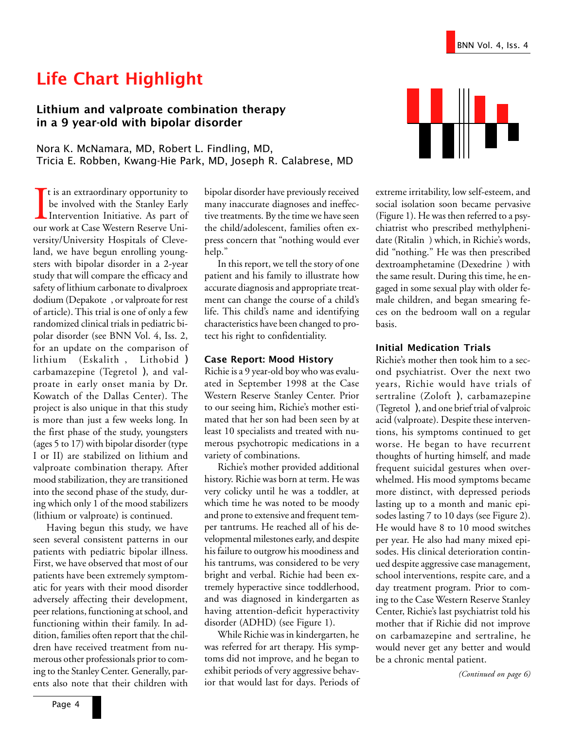# Life Chart Highlight

#### Lithium and valproate combination therapy in a 9 year-old with bipolar disorder

Nora K. McNamara, MD, Robert L. Findling, MD, Tricia E. Robben, Kwang-Hie Park, MD, Joseph R. Calabrese, MD

It is an extraordinary opportunity to<br>be involved with the Stanley Early<br>Intervention Initiative. As part of<br>our work at Case Western Reserve Unit is an extraordinary opportunity to be involved with the Stanley Early Intervention Initiative. As part of versity/University Hospitals of Cleveland, we have begun enrolling youngsters with bipolar disorder in a 2-year study that will compare the efficacy and safety of lithium carbonate to divalproex dodium (Depakote®, or valproate for rest of article). This trial is one of only a few randomized clinical trials in pediatric bipolar disorder (see BNN Vol. 4, Iss. 2, for an update on the comparison of lithium (Eskalith®, Lithobid®) carbamazepine (Tegretol®), and valproate in early onset mania by Dr. Kowatch of the Dallas Center). The project is also unique in that this study is more than just a few weeks long. In the first phase of the study, youngsters (ages 5 to 17) with bipolar disorder (type I or II) are stabilized on lithium and valproate combination therapy. After mood stabilization, they are transitioned into the second phase of the study, during which only 1 of the mood stabilizers (lithium or valproate) is continued.

Having begun this study, we have seen several consistent patterns in our patients with pediatric bipolar illness. First, we have observed that most of our patients have been extremely symptomatic for years with their mood disorder adversely affecting their development, peer relations, functioning at school, and functioning within their family. In addition, families often report that the children have received treatment from numerous other professionals prior to coming to the Stanley Center. Generally, parents also note that their children with

bipolar disorder have previously received many inaccurate diagnoses and ineffective treatments. By the time we have seen the child/adolescent, families often express concern that "nothing would ever help."

In this report, we tell the story of one patient and his family to illustrate how accurate diagnosis and appropriate treatment can change the course of a child's life. This child's name and identifying characteristics have been changed to protect his right to confidentiality.

#### Case Report: Mood History

Richie is a 9 year-old boy who was evaluated in September 1998 at the Case Western Reserve Stanley Center. Prior to our seeing him, Richie's mother estimated that her son had been seen by at least 10 specialists and treated with numerous psychotropic medications in a variety of combinations.

Richie's mother provided additional history. Richie was born at term. He was very colicky until he was a toddler, at which time he was noted to be moody and prone to extensive and frequent temper tantrums. He reached all of his developmental milestones early, and despite his failure to outgrow his moodiness and his tantrums, was considered to be very bright and verbal. Richie had been extremely hyperactive since toddlerhood, and was diagnosed in kindergarten as having attention-deficit hyperactivity disorder (ADHD) (see Figure 1).

While Richie was in kindergarten, he was referred for art therapy. His symptoms did not improve, and he began to exhibit periods of very aggressive behavior that would last for days. Periods of



extreme irritability, low self-esteem, and social isolation soon became pervasive (Figure 1). He was then referred to a psychiatrist who prescribed methylphenidate (Ritalin®) which, in Richie's words, did "nothing." He was then prescribed dextroamphetamine (Dexedrine®) with the same result. During this time, he engaged in some sexual play with older female children, and began smearing feces on the bedroom wall on a regular basis.

#### Initial Medication Trials

Richie's mother then took him to a second psychiatrist. Over the next two years, Richie would have trials of sertraline  $(Zoloft^{\otimes})$ , carbamazepine (Tegretol®), and one brief trial of valproic acid (valproate). Despite these interventions, his symptoms continued to get worse. He began to have recurrent thoughts of hurting himself, and made frequent suicidal gestures when overwhelmed. His mood symptoms became more distinct, with depressed periods lasting up to a month and manic episodes lasting 7 to 10 days (see Figure 2). He would have 8 to 10 mood switches per year. He also had many mixed episodes. His clinical deterioration continued despite aggressive case management, school interventions, respite care, and a day treatment program. Prior to coming to the Case Western Reserve Stanley Center, Richie's last psychiatrist told his mother that if Richie did not improve on carbamazepine and sertraline, he would never get any better and would be a chronic mental patient.

*(Continued on page 6)*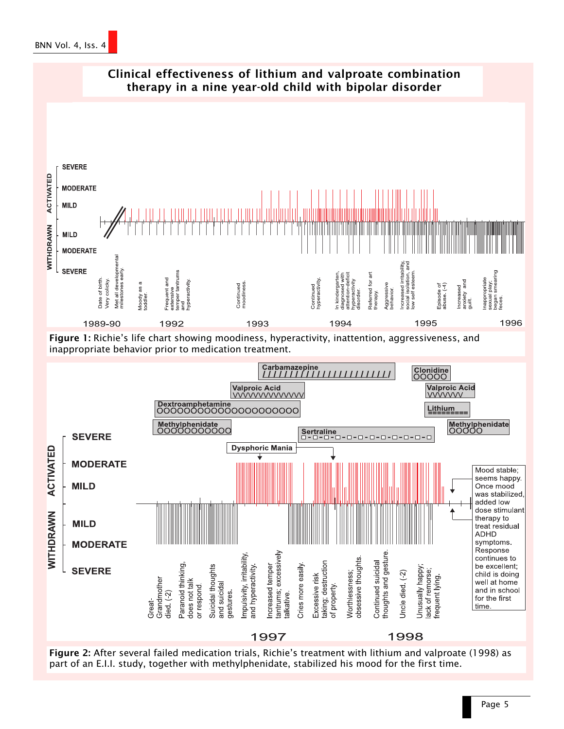





Figure 2: After several failed medication trials, Richie's treatment with lithium and valproate (1998) as part of an E.I.I. study, together with methylphenidate, stabilized his mood for the first time.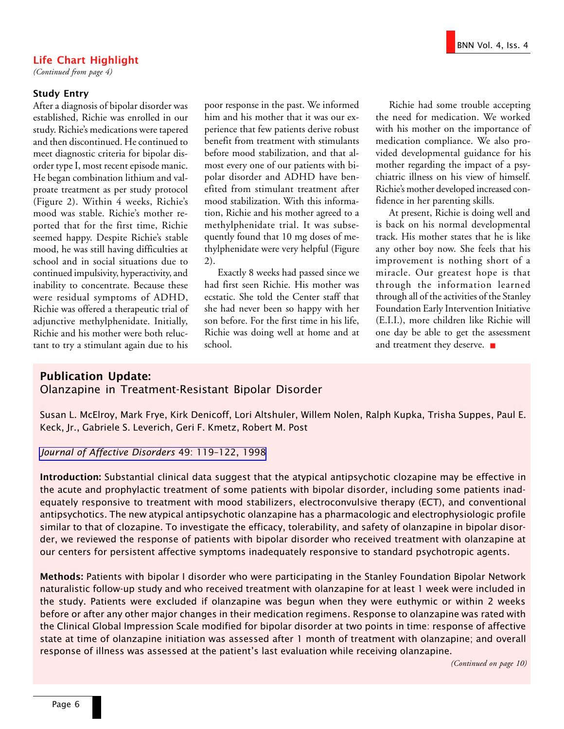#### Life Chart Highlight

*(Continued from page 4)*

#### Study Entry

After a diagnosis of bipolar disorder was established, Richie was enrolled in our study. Richie's medications were tapered and then discontinued. He continued to meet diagnostic criteria for bipolar disorder type I, most recent episode manic. He began combination lithium and valproate treatment as per study protocol (Figure 2). Within 4 weeks, Richie's mood was stable. Richie's mother reported that for the first time, Richie seemed happy. Despite Richie's stable mood, he was still having difficulties at school and in social situations due to continued impulsivity, hyperactivity, and inability to concentrate. Because these were residual symptoms of ADHD, Richie was offered a therapeutic trial of adjunctive methylphenidate. Initially, Richie and his mother were both reluctant to try a stimulant again due to his poor response in the past. We informed him and his mother that it was our experience that few patients derive robust benefit from treatment with stimulants before mood stabilization, and that almost every one of our patients with bipolar disorder and ADHD have benefited from stimulant treatment after mood stabilization. With this information, Richie and his mother agreed to a methylphenidate trial. It was subsequently found that 10 mg doses of methylphenidate were very helpful (Figure 2).

Exactly 8 weeks had passed since we had first seen Richie. His mother was ecstatic. She told the Center staff that she had never been so happy with her son before. For the first time in his life, Richie was doing well at home and at school.

Richie had some trouble accepting the need for medication. We worked with his mother on the importance of medication compliance. We also provided developmental guidance for his mother regarding the impact of a psychiatric illness on his view of himself. Richie's mother developed increased confidence in her parenting skills.

At present, Richie is doing well and is back on his normal developmental track. His mother states that he is like any other boy now. She feels that his improvement is nothing short of a miracle. Our greatest hope is that through the information learned through all of the activities of the Stanley Foundation Early Intervention Initiative (E.I.I.), more children like Richie will one day be able to get the assessment and treatment they deserve. ■

#### Publication Update: Olanzapine in Treatment-Resistant Bipolar Disorder

Susan L. McElroy, Mark Frye, Kirk Denicoff, Lori Altshuler, Willem Nolen, Ralph Kupka, Trisha Suppes, Paul E. Keck, Jr., Gabriele S. Leverich, Geri F. Kmetz, Robert M. Post

#### [Journal of Affective Disorders](http://www.ncbi.nlm.nih.gov/entrez/query.fcgi?cmd=Retrieve&db=PubMed&list_uids=9609675&dopt=Abstract) 49: 119-122, 1998

Introduction: Substantial clinical data suggest that the atypical antipsychotic clozapine may be effective in the acute and prophylactic treatment of some patients with bipolar disorder, including some patients inadequately responsive to treatment with mood stabilizers, electroconvulsive therapy (ECT), and conventional antipsychotics. The new atypical antipsychotic olanzapine has a pharmacologic and electrophysiologic profile similar to that of clozapine. To investigate the efficacy, tolerability, and safety of olanzapine in bipolar disorder, we reviewed the response of patients with bipolar disorder who received treatment with olanzapine at our centers for persistent affective symptoms inadequately responsive to standard psychotropic agents.

Methods: Patients with bipolar I disorder who were participating in the Stanley Foundation Bipolar Network naturalistic follow-up study and who received treatment with olanzapine for at least 1 week were included in the study. Patients were excluded if olanzapine was begun when they were euthymic or within 2 weeks before or after any other major changes in their medication regimens. Response to olanzapine was rated with the Clinical Global Impression Scale modified for bipolar disorder at two points in time: response of affective state at time of olanzapine initiation was assessed after 1 month of treatment with olanzapine; and overall response of illness was assessed at the patient's last evaluation while receiving olanzapine.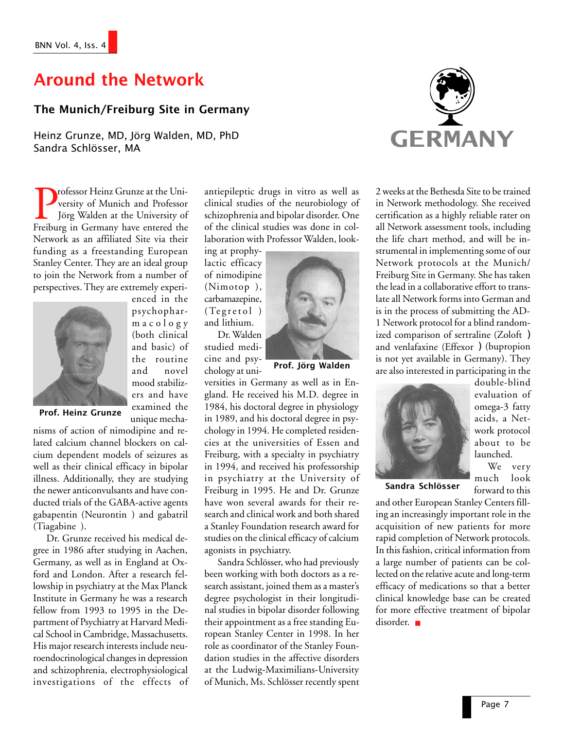# Around the Network

#### The Munich/Freiburg Site in Germany

Heinz Grunze, MD, Jörg Walden, MD, PhD Sandra Schlösser, MA

> enced in the psychopharmacology (both clinical and basic) of the routine and novel mood stabilizers and have examined the unique mecha-

Professor Heinz Grunze at the University of Munich and Professor<br>Jörg Walden at the University of<br>Freiburg in Germany have entered the versity of Munich and Professor Jörg Walden at the University of Network as an affiliated Site via their funding as a freestanding European Stanley Center. They are an ideal group to join the Network from a number of perspectives. They are extremely experi-



Prof. Heinz Grunze

nisms of action of nimodipine and related calcium channel blockers on calcium dependent models of seizures as well as their clinical efficacy in bipolar illness. Additionally, they are studying the newer anticonvulsants and have conducted trials of the GABA-active agents gabapentin (Neurontin®) and gabatril (Tiagabine®).

Dr. Grunze received his medical degree in 1986 after studying in Aachen, Germany, as well as in England at Oxford and London. After a research fellowship in psychiatry at the Max Planck Institute in Germany he was a research fellow from 1993 to 1995 in the Department of Psychiatry at Harvard Medical School in Cambridge, Massachusetts. His major research interests include neuroendocrinological changes in depression and schizophrenia, electrophysiological investigations of the effects of antiepileptic drugs in vitro as well as clinical studies of the neurobiology of schizophrenia and bipolar disorder. One of the clinical studies was done in collaboration with Professor Walden, look-

ing at prophylactic efficacy of nimodipine  $(Nimotop^{\otimes}),$ carbamazepine,  $(Tegretol^{\circledR})$ and lithium.

Dr. Walden studied medicine and psychology at uni-



versities in Germany as well as in England. He received his M.D. degree in 1984, his doctoral degree in physiology in 1989, and his doctoral degree in psychology in 1994. He completed residencies at the universities of Essen and Freiburg, with a specialty in psychiatry in 1994, and received his professorship in psychiatry at the University of Freiburg in 1995. He and Dr. Grunze have won several awards for their research and clinical work and both shared a Stanley Foundation research award for studies on the clinical efficacy of calcium agonists in psychiatry.

Sandra Schlösser, who had previously been working with both doctors as a research assistant, joined them as a master's degree psychologist in their longitudinal studies in bipolar disorder following their appointment as a free standing European Stanley Center in 1998. In her role as coordinator of the Stanley Foundation studies in the affective disorders at the Ludwig-Maximilians-University of Munich, Ms. Schlösser recently spent



2 weeks at the Bethesda Site to be trained in Network methodology. She received certification as a highly reliable rater on all Network assessment tools, including the life chart method, and will be instrumental in implementing some of our Network protocols at the Munich/ Freiburg Site in Germany. She has taken the lead in a collaborative effort to translate all Network forms into German and is in the process of submitting the AD-1 Network protocol for a blind randomized comparison of sertraline  $(Zoloft^{\circledast})$ and venlafaxine (Effexor®) (bupropion is not yet available in Germany). They are also interested in participating in the



double-blind evaluation of omega-3 fatty acids, a Network protocol about to be launched.

We very much look forward to this

Sandra Schlösser

and other European Stanley Centers filling an increasingly important role in the acquisition of new patients for more rapid completion of Network protocols. In this fashion, critical information from a large number of patients can be collected on the relative acute and long-term efficacy of medications so that a better clinical knowledge base can be created for more effective treatment of bipolar disorder. ■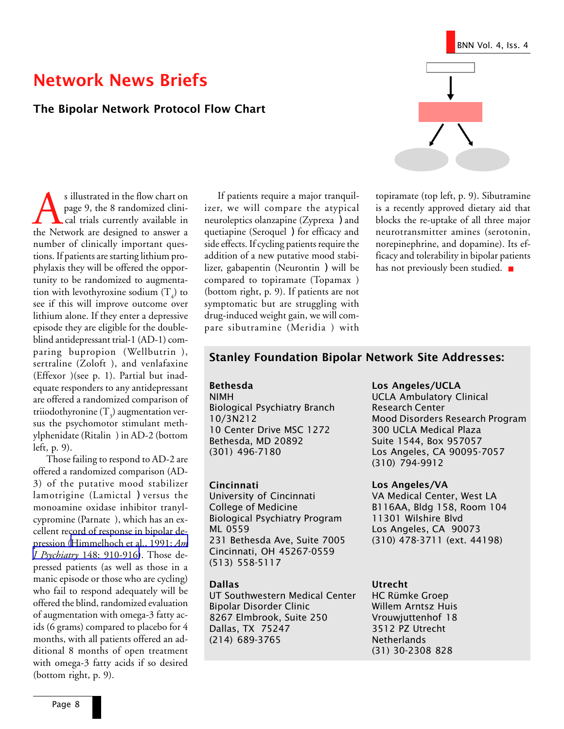#### The Bipolar Network Protocol Flow Chart

s illustrated in the flow chart on<br>page 9, the 8 randomized clini-<br>cal trials currently available in<br>the Network are designed to answer a page 9, the 8 randomized clini cal trials currently available in number of clinically important questions. If patients are starting lithium prophylaxis they will be offered the opportunity to be randomized to augmentation with levothyroxine sodium  $(T_4)$  to see if this will improve outcome over lithium alone. If they enter a depressive episode they are eligible for the doubleblind antidepressant trial-1 (AD-1) comparing bupropion (Wellbutrin®), sertraline ( $Zoloft^@$ ), and venlafaxine  $(Effexor^@)$ (see p. 1). Partial but inadequate responders to any antidepressant are offered a randomized comparison of triiodothyronine (T<sub>3</sub>) augmentation versus the psychomotor stimulant methylphenidate (Ritalin®) in AD-2 (bottom left, p. 9).

Those failing to respond to AD-2 are offered a randomized comparison (AD-3) of the putative mood stabilizer lamotrigine (Lamictal®) versus the monoamine oxidase inhibitor tranylcypromine (Parnate®), which has an excellent record of response in bipolar depression ([Himmelhoch et al., 1991;](http://www.ncbi.nlm.nih.gov/entrez/query.fcgi?cmd=Retrieve&db=PubMed&list_uids=2053632&dopt=Abstract) *Am J Psychiatry* [148: 910-916\)](http://www.ncbi.nlm.nih.gov/entrez/query.fcgi?cmd=Retrieve&db=PubMed&list_uids=2053632&dopt=Abstract). Those depressed patients (as well as those in a manic episode or those who are cycling) who fail to respond adequately will be offered the blind, randomized evaluation of augmentation with omega-3 fatty acids (6 grams) compared to placebo for 4 months, with all patients offered an additional 8 months of open treatment with omega-3 fatty acids if so desired (bottom right, p. 9).

If patients require a major tranquilizer, we will compare the atypical neuroleptics olanzapine (Zyprexa®) and quetiapine (Seroquel®) for efficacy and side effects. If cycling patients require the addition of a new putative mood stabilizer, gabapentin (Neurontin®) will be compared to topiramate (Topamax®) (bottom right, p. 9). If patients are not symptomatic but are struggling with drug-induced weight gain, we will compare sibutramine (Meridia®) with



topiramate (top left, p. 9). Sibutramine is a recently approved dietary aid that blocks the re-uptake of all three major neurotransmitter amines (serotonin, norepinephrine, and dopamine). Its efficacy and tolerability in bipolar patients has not previously been studied. ■

#### Stanley Foundation Bipolar Network Site Addresses:

#### Bethesda

NIMH Biological Psychiatry Branch 10/3N212 10 Center Drive MSC 1272 Bethesda, MD 20892 (301) 496-7180

#### Cincinnati

University of Cincinnati College of Medicine Biological Psychiatry Program ML 0559 231 Bethesda Ave, Suite 7005 Cincinnati, OH 45267-0559 (513) 558-5117

#### Dallas

UT Southwestern Medical Center Bipolar Disorder Clinic 8267 Elmbrook, Suite 250 Dallas, TX 75247 (214) 689-3765

#### Los Angeles/UCLA

UCLA Ambulatory Clinical Research Center Mood Disorders Research Program 300 UCLA Medical Plaza Suite 1544, Box 957057 Los Angeles, CA 90095-7057 (310) 794-9912

#### Los Angeles/VA

VA Medical Center, West LA B116AA, Bldg 158, Room 104 11301 Wilshire Blvd Los Angeles, CA 90073 (310) 478-3711 (ext. 44198)

#### Utrecht

HC Rümke Groep Willem Arntsz Huis Vrouwjuttenhof 18 3512 PZ Utrecht **Netherlands** (31) 30-2308 828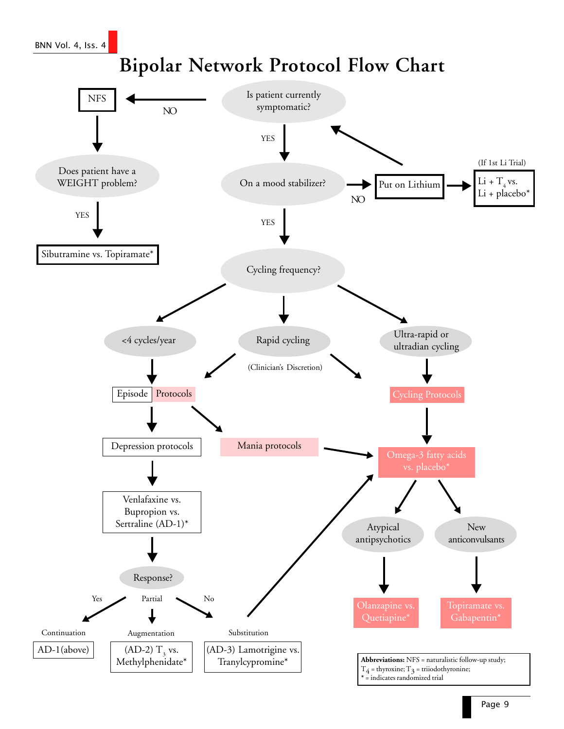BNN Vol. 4, Iss. 4

# **Bipolar Network Protocol Flow Chart**

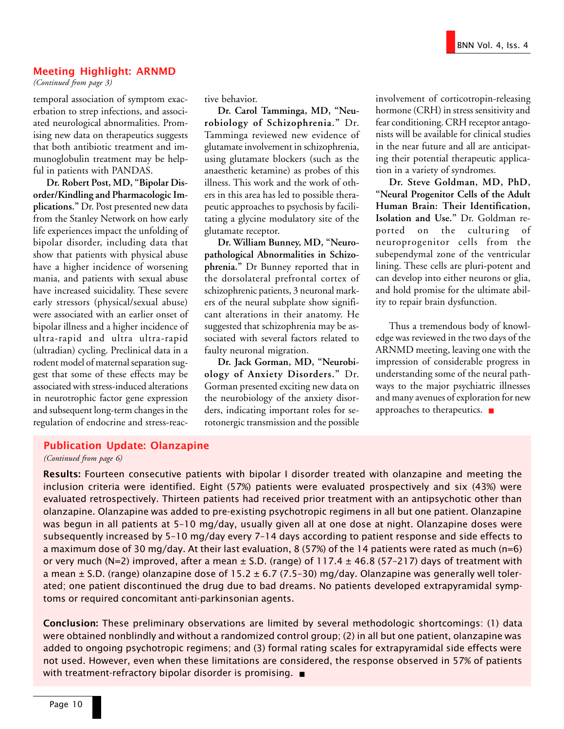#### Meeting Highlight: ARNMD

*(Continued from page 3)*

temporal association of symptom exacerbation to strep infections, and associated neurological abnormalities. Promising new data on therapeutics suggests that both antibiotic treatment and immunoglobulin treatment may be helpful in patients with PANDAS.

**Dr. Robert Post, MD, "Bipolar Disorder/Kindling and Pharmacologic Implications."** Dr. Post presented new data from the Stanley Network on how early life experiences impact the unfolding of bipolar disorder, including data that show that patients with physical abuse have a higher incidence of worsening mania, and patients with sexual abuse have increased suicidality. These severe early stressors (physical/sexual abuse) were associated with an earlier onset of bipolar illness and a higher incidence of ultra-rapid and ultra ultra-rapid (ultradian) cycling. Preclinical data in a rodent model of maternal separation suggest that some of these effects may be associated with stress-induced alterations in neurotrophic factor gene expression and subsequent long-term changes in the regulation of endocrine and stress-reactive behavior.

**Dr. Carol Tamminga, MD, "Neurobiology of Schizophrenia."** Dr. Tamminga reviewed new evidence of glutamate involvement in schizophrenia, using glutamate blockers (such as the anaesthetic ketamine) as probes of this illness. This work and the work of others in this area has led to possible therapeutic approaches to psychosis by facilitating a glycine modulatory site of the glutamate receptor.

**Dr. William Bunney, MD, "Neuropathological Abnormalities in Schizophrenia."** Dr Bunney reported that in the dorsolateral prefrontal cortex of schizophrenic patients, 3 neuronal markers of the neural subplate show significant alterations in their anatomy. He suggested that schizophrenia may be associated with several factors related to faulty neuronal migration.

**Dr. Jack Gorman, MD, "Neurobiology of Anxiety Disorders."** Dr. Gorman presented exciting new data on the neurobiology of the anxiety disorders, indicating important roles for serotonergic transmission and the possible involvement of corticotropin-releasing hormone (CRH) in stress sensitivity and fear conditioning. CRH receptor antagonists will be available for clinical studies in the near future and all are anticipating their potential therapeutic application in a variety of syndromes.

**Dr. Steve Goldman, MD, PhD, "Neural Progenitor Cells of the Adult Human Brain: Their Identification, Isolation and Use."** Dr. Goldman reported on the culturing of neuroprogenitor cells from the subependymal zone of the ventricular lining. These cells are pluri-potent and can develop into either neurons or glia, and hold promise for the ultimate ability to repair brain dysfunction.

Thus a tremendous body of knowledge was reviewed in the two days of the ARNMD meeting, leaving one with the impression of considerable progress in understanding some of the neural pathways to the major psychiatric illnesses and many avenues of exploration for new approaches to therapeutics. ■

#### Publication Update: Olanzapine

*(Continued from page 6)*

Results: Fourteen consecutive patients with bipolar I disorder treated with olanzapine and meeting the inclusion criteria were identified. Eight (57%) patients were evaluated prospectively and six (43%) were evaluated retrospectively. Thirteen patients had received prior treatment with an antipsychotic other than olanzapine. Olanzapine was added to pre-existing psychotropic regimens in all but one patient. Olanzapine was begun in all patients at 5-10 mg/day, usually given all at one dose at night. Olanzapine doses were subsequently increased by 5-10 mg/day every 7-14 days according to patient response and side effects to a maximum dose of 30 mg/day. At their last evaluation, 8 (57%) of the 14 patients were rated as much (n=6) or very much (N=2) improved, after a mean  $\pm$  S.D. (range) of 117.4  $\pm$  46.8 (57-217) days of treatment with a mean  $\pm$  S.D. (range) olanzapine dose of 15.2  $\pm$  6.7 (7.5-30) mg/day. Olanzapine was generally well tolerated; one patient discontinued the drug due to bad dreams. No patients developed extrapyramidal symptoms or required concomitant anti-parkinsonian agents.

Conclusion: These preliminary observations are limited by several methodologic shortcomings: (1) data were obtained nonblindly and without a randomized control group; (2) in all but one patient, olanzapine was added to ongoing psychotropic regimens; and (3) formal rating scales for extrapyramidal side effects were not used. However, even when these limitations are considered, the response observed in 57% of patients with treatment-refractory bipolar disorder is promising. ■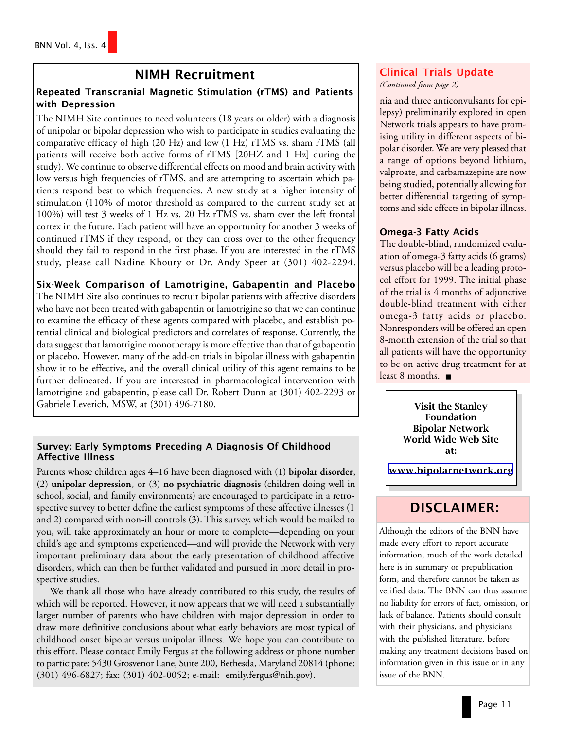### NIMH Recruitment

#### Repeated Transcranial Magnetic Stimulation (rTMS) and Patients with Depression

The NIMH Site continues to need volunteers (18 years or older) with a diagnosis of unipolar or bipolar depression who wish to participate in studies evaluating the comparative efficacy of high (20 Hz) and low (1 Hz) rTMS vs. sham rTMS (all patients will receive both active forms of rTMS [20HZ and 1 Hz] during the study). We continue to observe differential effects on mood and brain activity with low versus high frequencies of rTMS, and are attempting to ascertain which patients respond best to which frequencies. A new study at a higher intensity of stimulation (110% of motor threshold as compared to the current study set at 100%) will test 3 weeks of 1 Hz vs. 20 Hz rTMS vs. sham over the left frontal cortex in the future. Each patient will have an opportunity for another 3 weeks of continued rTMS if they respond, or they can cross over to the other frequency should they fail to respond in the first phase. If you are interested in the rTMS study, please call Nadine Khoury or Dr. Andy Speer at (301) 402-2294.

#### Six-Week Comparison of Lamotrigine, Gabapentin and Placebo

The NIMH Site also continues to recruit bipolar patients with affective disorders who have not been treated with gabapentin or lamotrigine so that we can continue to examine the efficacy of these agents compared with placebo, and establish potential clinical and biological predictors and correlates of response. Currently, the data suggest that lamotrigine monotherapy is more effective than that of gabapentin or placebo. However, many of the add-on trials in bipolar illness with gabapentin show it to be effective, and the overall clinical utility of this agent remains to be further delineated. If you are interested in pharmacological intervention with lamotrigine and gabapentin, please call Dr. Robert Dunn at (301) 402-2293 or Gabriele Leverich, MSW, at (301) 496-7180.

#### Survey: Early Symptoms Preceding A Diagnosis Of Childhood Affective Illness

Parents whose children ages 4–16 have been diagnosed with (1) **bipolar disorder**, (2) **unipolar depression**, or (3) **no psychiatric diagnosis** (children doing well in school, social, and family environments) are encouraged to participate in a retrospective survey to better define the earliest symptoms of these affective illnesses (1 and 2) compared with non-ill controls (3). This survey, which would be mailed to you, will take approximately an hour or more to complete—depending on your child's age and symptoms experienced—and will provide the Network with very important preliminary data about the early presentation of childhood affective disorders, which can then be further validated and pursued in more detail in prospective studies.

We thank all those who have already contributed to this study, the results of which will be reported. However, it now appears that we will need a substantially larger number of parents who have children with major depression in order to draw more definitive conclusions about what early behaviors are most typical of childhood onset bipolar versus unipolar illness. We hope you can contribute to this effort. Please contact Emily Fergus at the following address or phone number to participate: 5430 Grosvenor Lane, Suite 200, Bethesda, Maryland 20814 (phone: (301) 496-6827; fax: (301) 402-0052; e-mail: emily.fergus@nih.gov).

### Clinical Trials Update

*(Continued from page 2)*

nia and three anticonvulsants for epilepsy) preliminarily explored in open Network trials appears to have promising utility in different aspects of bipolar disorder. We are very pleased that a range of options beyond lithium, valproate, and carbamazepine are now being studied, potentially allowing for better differential targeting of symptoms and side effects in bipolar illness.

#### Omega-3 Fatty Acids

The double-blind, randomized evaluation of omega-3 fatty acids (6 grams) versus placebo will be a leading protocol effort for 1999. The initial phase of the trial is 4 months of adjunctive double-blind treatment with either omega-3 fatty acids or placebo. Nonresponders will be offered an open 8-month extension of the trial so that all patients will have the opportunity to be on active drug treatment for at least 8 months. ■

> Visit the Stanley Foundation Bipolar Network World Wide Web Site at:

[www.bipolarnetwork.org](http://www.bipolarnetwork.org/)

## DISCLAIMER:

Although the editors of the BNN have made every effort to report accurate information, much of the work detailed here is in summary or prepublication form, and therefore cannot be taken as verified data. The BNN can thus assume no liability for errors of fact, omission, or lack of balance. Patients should consult with their physicians, and physicians with the published literature, before making any treatment decisions based on information given in this issue or in any issue of the BNN.